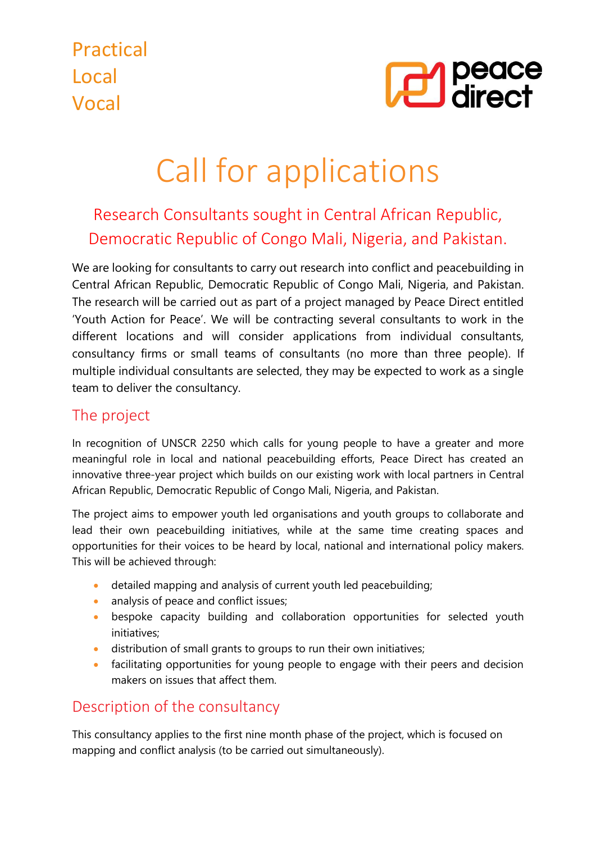

# Call for applications

# Research Consultants sought in Central African Republic, Democratic Republic of Congo Mali, Nigeria, and Pakistan.

We are looking for consultants to carry out research into conflict and peacebuilding in Central African Republic, Democratic Republic of Congo Mali, Nigeria, and Pakistan. The research will be carried out as part of a project managed by Peace Direct entitled 'Youth Action for Peace'. We will be contracting several consultants to work in the different locations and will consider applications from individual consultants, consultancy firms or small teams of consultants (no more than three people). If multiple individual consultants are selected, they may be expected to work as a single team to deliver the consultancy.

# The project

In recognition of UNSCR 2250 which calls for young people to have a greater and more meaningful role in local and national peacebuilding efforts, Peace Direct has created an innovative three-year project which builds on our existing work with local partners in Central African Republic, Democratic Republic of Congo Mali, Nigeria, and Pakistan.

The project aims to empower youth led organisations and youth groups to collaborate and lead their own peacebuilding initiatives, while at the same time creating spaces and opportunities for their voices to be heard by local, national and international policy makers. This will be achieved through:

- detailed mapping and analysis of current youth led peacebuilding;
- analysis of peace and conflict issues;
- bespoke capacity building and collaboration opportunities for selected youth initiatives;
- distribution of small grants to groups to run their own initiatives;
- facilitating opportunities for young people to engage with their peers and decision makers on issues that affect them.

# Description of the consultancy

This consultancy applies to the first nine month phase of the project, which is focused on mapping and conflict analysis (to be carried out simultaneously).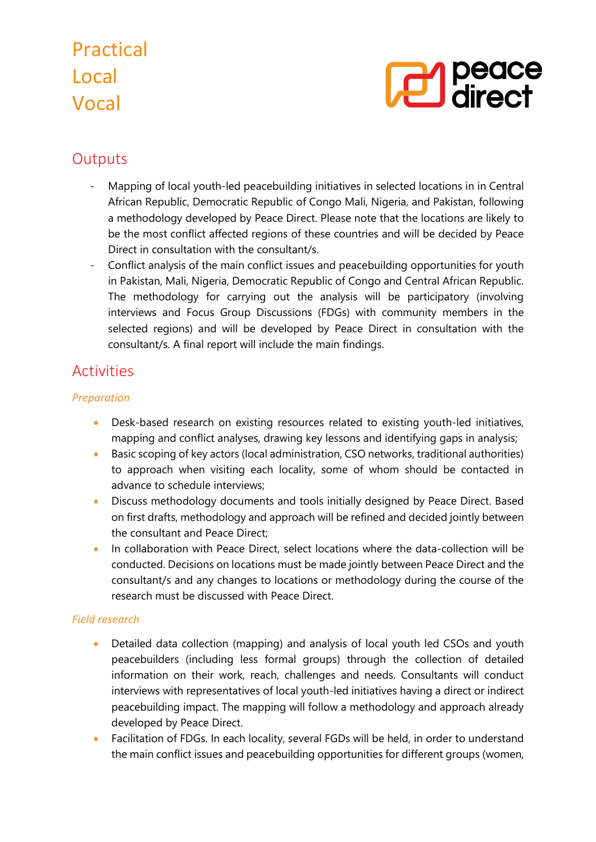

# **Outputs**

- Mapping of local youth-led peacebuilding initiatives in selected locations in in Central African Republic, Democratic Republic of Congo Mali, Nigeria, and Pakistan, following a methodology developed by Peace Direct. Please note that the locations are likely to be the most conflict affected regions of these countries and will be decided by Peace Direct in consultation with the consultant/s.
- Conflict analysis of the main conflict issues and peacebuilding opportunities for youth in Pakistan, Mali, Nigeria, Democratic Republic of Congo and Central African Republic. The methodology for carrying out the analysis will be participatory (involving interviews and Focus Group Discussions (FDGs) with community members in the selected regions) and will be developed by Peace Direct in consultation with the consultant/s. A final report will include the main findings.

# Activities

#### *Preparation*

- Desk-based research on existing resources related to existing youth-led initiatives, mapping and conflict analyses, drawing key lessons and identifying gaps in analysis;
- Basic scoping of key actors (local administration, CSO networks, traditional authorities) to approach when visiting each locality, some of whom should be contacted in advance to schedule interviews;
- Discuss methodology documents and tools initially designed by Peace Direct. Based on first drafts, methodology and approach will be refined and decided jointly between the consultant and Peace Direct;
- In collaboration with Peace Direct, select locations where the data-collection will be conducted. Decisions on locations must be made jointly between Peace Direct and the consultant/s and any changes to locations or methodology during the course of the research must be discussed with Peace Direct.

#### *Field research*

- Detailed data collection (mapping) and analysis of local youth led CSOs and youth peacebuilders (including less formal groups) through the collection of detailed information on their work, reach, challenges and needs. Consultants will conduct interviews with representatives of local youth-led initiatives having a direct or indirect peacebuilding impact. The mapping will follow a methodology and approach already developed by Peace Direct.
- Facilitation of FDGs. In each locality, several FGDs will be held, in order to understand the main conflict issues and peacebuilding opportunities for different groups (women,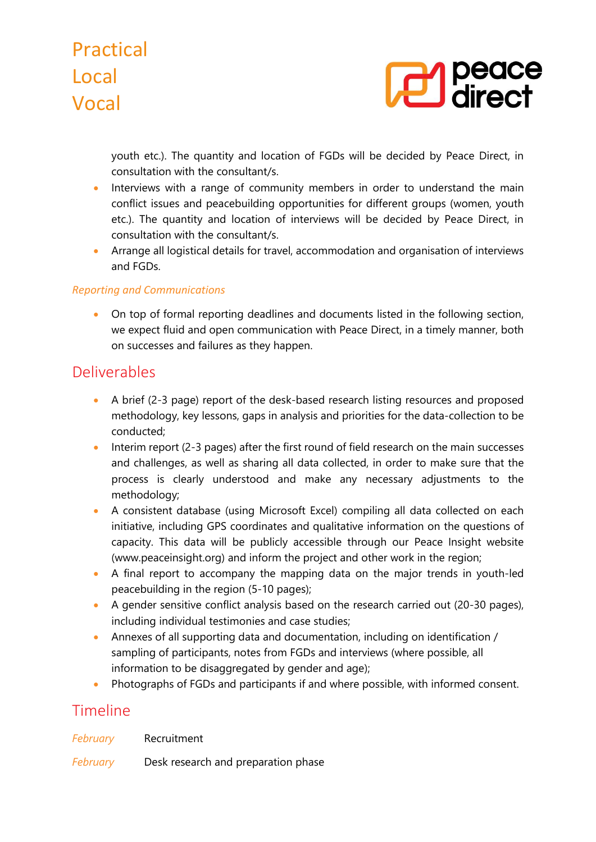

youth etc.). The quantity and location of FGDs will be decided by Peace Direct, in consultation with the consultant/s.

- Interviews with a range of community members in order to understand the main conflict issues and peacebuilding opportunities for different groups (women, youth etc.). The quantity and location of interviews will be decided by Peace Direct, in consultation with the consultant/s.
- Arrange all logistical details for travel, accommodation and organisation of interviews and FGDs.

#### *Reporting and Communications*

• On top of formal reporting deadlines and documents listed in the following section, we expect fluid and open communication with Peace Direct, in a timely manner, both on successes and failures as they happen.

### Deliverables

- A brief (2-3 page) report of the desk-based research listing resources and proposed methodology, key lessons, gaps in analysis and priorities for the data-collection to be conducted;
- Interim report (2-3 pages) after the first round of field research on the main successes and challenges, as well as sharing all data collected, in order to make sure that the process is clearly understood and make any necessary adjustments to the methodology;
- A consistent database (using Microsoft Excel) compiling all data collected on each initiative, including GPS coordinates and qualitative information on the questions of capacity. This data will be publicly accessible through our Peace Insight website (www.peaceinsight.org) and inform the project and other work in the region;
- A final report to accompany the mapping data on the major trends in youth-led peacebuilding in the region (5-10 pages);
- A gender sensitive conflict analysis based on the research carried out (20-30 pages), including individual testimonies and case studies;
- Annexes of all supporting data and documentation, including on identification / sampling of participants, notes from FGDs and interviews (where possible, all information to be disaggregated by gender and age);
- Photographs of FGDs and participants if and where possible, with informed consent.

### Timeline

*February* Desk research and preparation phase